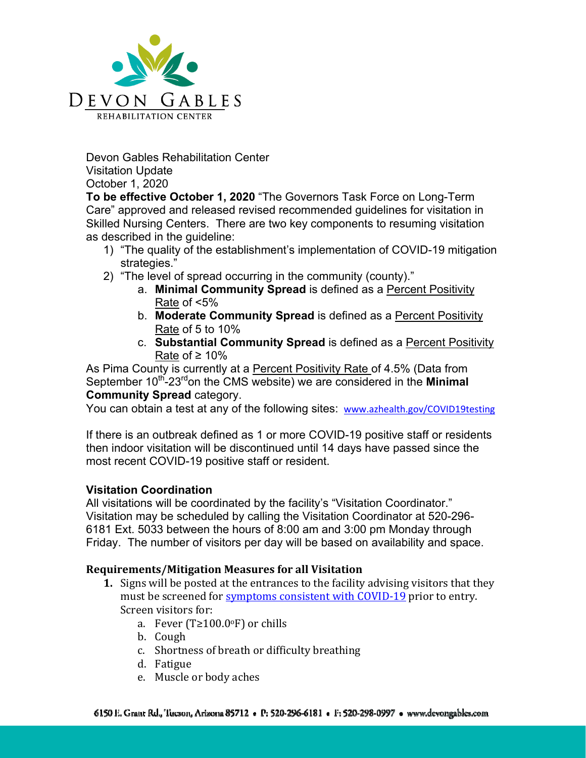

Devon Gables Rehabilitation Center Visitation Update October 1, 2020

**To be effective October 1, 2020** "The Governors Task Force on Long-Term Care" approved and released revised recommended guidelines for visitation in Skilled Nursing Centers. There are two key components to resuming visitation as described in the guideline:

- 1) "The quality of the establishment's implementation of COVID-19 mitigation strategies."
- 2) "The level of spread occurring in the community (county)."
	- a. **Minimal Community Spread** is defined as a Percent Positivity Rate of <5%
	- b. **Moderate Community Spread** is defined as a Percent Positivity Rate of 5 to 10%
	- c. **Substantial Community Spread** is defined as a Percent Positivity Rate of  $≥$  10%

As Pima County is currently at a Percent Positivity Rate of 4.5% (Data from September 10<sup>th</sup>-23<sup>rd</sup>on the CMS website) we are considered in the **Minimal Community Spread** category.

You can obtain a test at any of the following sites: www.azhealth.gov/COVID19testing

If there is an outbreak defined as 1 or more COVID-19 positive staff or residents then indoor visitation will be discontinued until 14 days have passed since the most recent COVID-19 positive staff or resident.

# **Visitation Coordination**

All visitations will be coordinated by the facility's "Visitation Coordinator." Visitation may be scheduled by calling the Visitation Coordinator at 520-296- 6181 Ext. 5033 between the hours of 8:00 am and 3:00 pm Monday through Friday. The number of visitors per day will be based on availability and space.

## **Requirements/Mitigation Measures for all Visitation**

- **1.** Signs will be posted at the entrances to the facility advising visitors that they must be screened for symptoms consistent with COVID-19 prior to entry. Screen visitors for:
	- a. Fever (T≥100.0 $\circ$ F) or chills
	- b. Cough
	- c. Shortness of breath or difficulty breathing
	- d. Fatigue
	- e. Muscle or body aches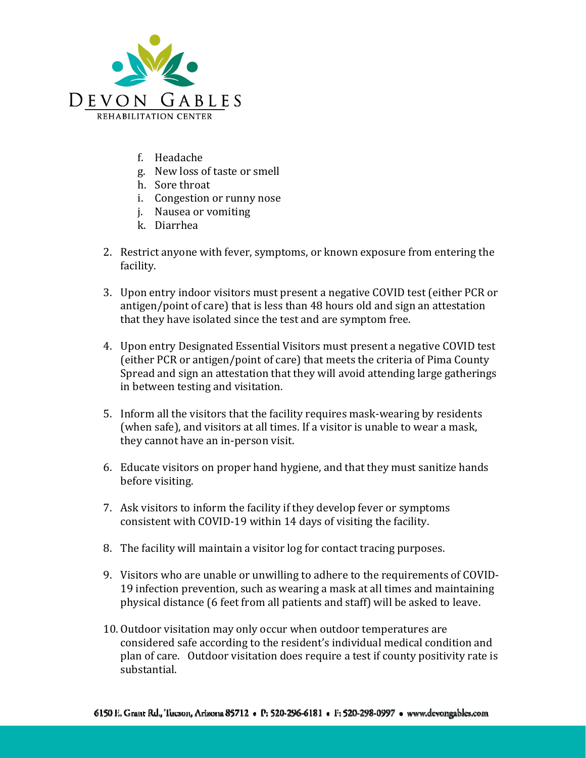

- f. Headache
- g. New loss of taste or smell
- h. Sore throat
- i. Congestion or runny nose
- j. Nausea or vomiting
- k. Diarrhea
- 2. Restrict anyone with fever, symptoms, or known exposure from entering the facility.
- 3. Upon entry indoor visitors must present a negative COVID test (either PCR or antigen/point of care) that is less than 48 hours old and sign an attestation that they have isolated since the test and are symptom free.
- 4. Upon entry Designated Essential Visitors must present a negative COVID test (either PCR or antigen/point of care) that meets the criteria of Pima County Spread and sign an attestation that they will avoid attending large gatherings in between testing and visitation.
- 5. Inform all the visitors that the facility requires mask-wearing by residents (when safe), and visitors at all times. If a visitor is unable to wear a mask, they cannot have an in-person visit.
- 6. Educate visitors on proper hand hygiene, and that they must sanitize hands before visiting.
- 7. Ask visitors to inform the facility if they develop fever or symptoms consistent with COVID-19 within 14 days of visiting the facility.
- 8. The facility will maintain a visitor log for contact tracing purposes.
- 9. Visitors who are unable or unwilling to adhere to the requirements of COVID-19 infection prevention, such as wearing a mask at all times and maintaining physical distance (6 feet from all patients and staff) will be asked to leave.
- 10. Outdoor visitation may only occur when outdoor temperatures are considered safe according to the resident's individual medical condition and plan of care. Outdoor visitation does require a test if county positivity rate is substantial.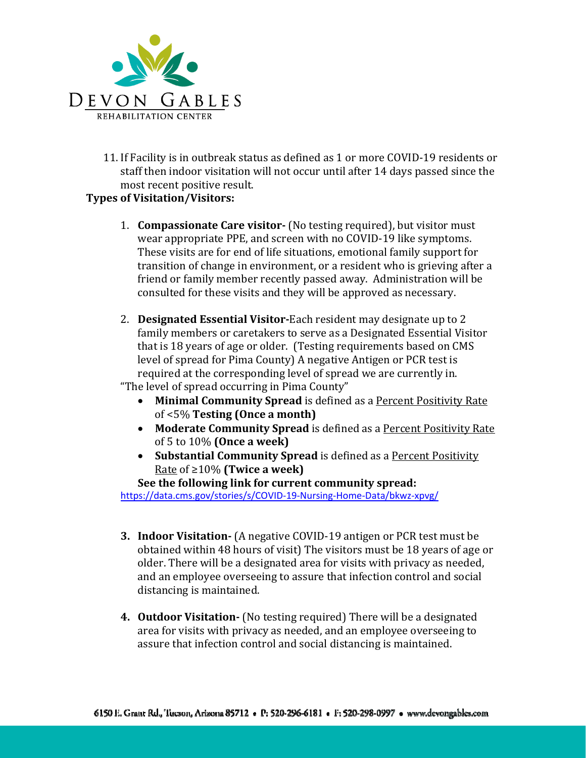

11. If Facility is in outbreak status as defined as 1 or more COVID-19 residents or staff then indoor visitation will not occur until after 14 days passed since the most recent positive result.

## **Types of Visitation/Visitors:**

- 1. **Compassionate Care visitor‐** (No testing required), but visitor must wear appropriate PPE, and screen with no COVID-19 like symptoms. These visits are for end of life situations, emotional family support for transition of change in environment, or a resident who is grieving after a friend or family member recently passed away. Administration will be consulted for these visits and they will be approved as necessary.
- 2. **Designated Essential Visitor‐**Each resident may designate up to 2 family members or caretakers to serve as a Designated Essential Visitor that is 18 years of age or older. (Testing requirements based on CMS level of spread for Pima County) A negative Antigen or PCR test is required at the corresponding level of spread we are currently in. "The level of spread occurring in Pima County"

- **Minimal Community Spread** is defined as a Percent Positivity Rate of <5% **Testing (Once a month)**
- **Moderate Community Spread** is defined as a Percent Positivity Rate of 5 to 10% **(Once a week)**
- **Substantial Community Spread** is defined as a Percent Positivity Rate of ≥10% **(Twice a week)**

**See the following link for current community spread:**

https://data.cms.gov/stories/s/COVID‐19‐Nursing‐Home‐Data/bkwz‐xpvg/

- **3. Indoor Visitation‐** (A negative COVID-19 antigen or PCR test must be obtained within 48 hours of visit) The visitors must be 18 years of age or older. There will be a designated area for visits with privacy as needed, and an employee overseeing to assure that infection control and social distancing is maintained.
- **4. Outdoor Visitation** (No testing required) There will be a designated area for visits with privacy as needed, and an employee overseeing to assure that infection control and social distancing is maintained.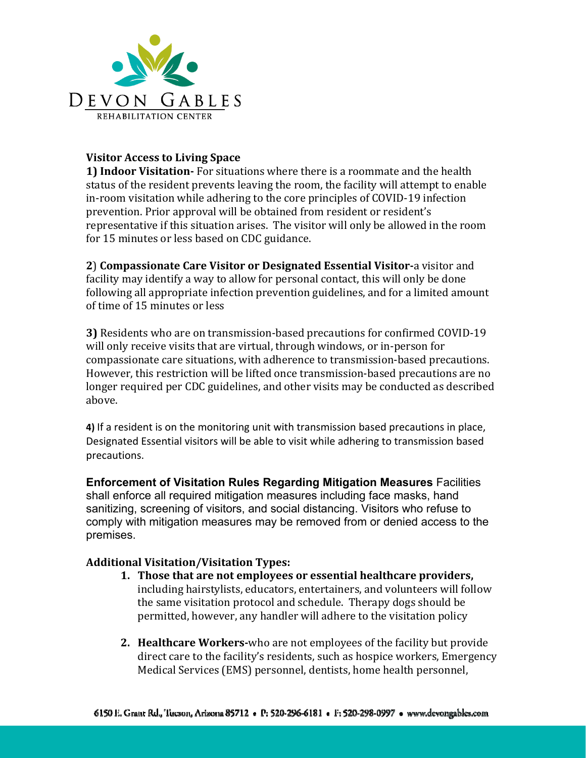

## **Visitor Access to Living Space**

**1) Indoor Visitation‐** For situations where there is a roommate and the health status of the resident prevents leaving the room, the facility will attempt to enable in-room visitation while adhering to the core principles of COVID-19 infection prevention. Prior approval will be obtained from resident or resident's representative if this situation arises. The visitor will only be allowed in the room for 15 minutes or less based on CDC guidance.

**2**) **Compassionate Care Visitor or Designated Essential Visitor‐**a visitor and facility may identify a way to allow for personal contact, this will only be done following all appropriate infection prevention guidelines, and for a limited amount of time of 15 minutes or less

**3)** Residents who are on transmission-based precautions for confirmed COVID-19 will only receive visits that are virtual, through windows, or in-person for compassionate care situations, with adherence to transmission-based precautions. However, this restriction will be lifted once transmission-based precautions are no longer required per CDC guidelines, and other visits may be conducted as described above.

**4)** If a resident is on the monitoring unit with transmission based precautions in place, Designated Essential visitors will be able to visit while adhering to transmission based precautions.

**Enforcement of Visitation Rules Regarding Mitigation Measures** Facilities shall enforce all required mitigation measures including face masks, hand sanitizing, screening of visitors, and social distancing. Visitors who refuse to comply with mitigation measures may be removed from or denied access to the premises.

# **Additional Visitation/Visitation Types:**

- **1. Those that are not employees or essential healthcare providers,** including hairstylists, educators, entertainers, and volunteers will follow the same visitation protocol and schedule. Therapy dogs should be permitted, however, any handler will adhere to the visitation policy
- **2. Healthcare Workers‐**who are not employees of the facility but provide direct care to the facility's residents, such as hospice workers, Emergency Medical Services (EMS) personnel, dentists, home health personnel,